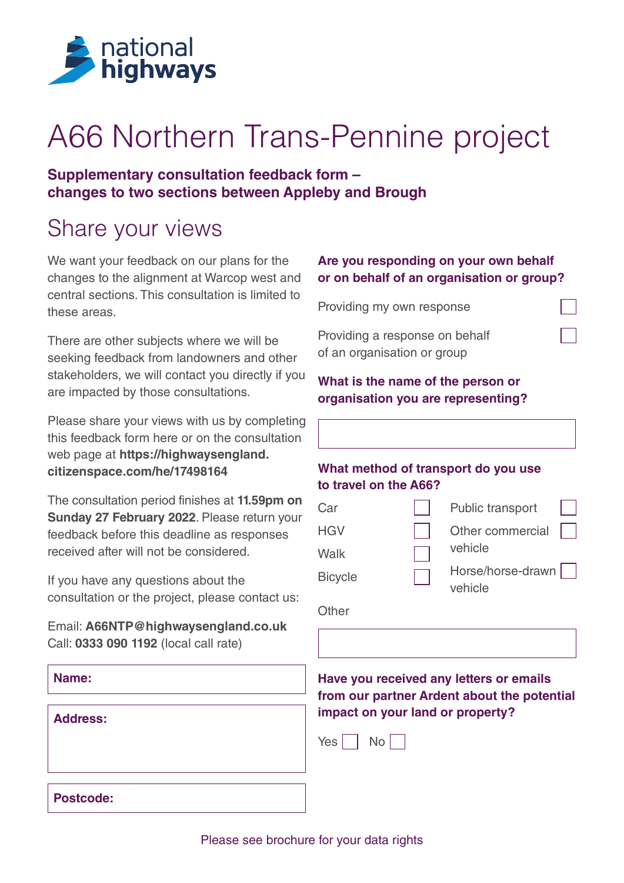

# A66 Northern Trans-Pennine project

### **Supplementary consultation feedback form – changes to two sections between Appleby and Brough**

### Share your views

We want your feedback on our plans for the changes to the alignment at Warcop west and central sections. This consultation is limited to these areas.

There are other subjects where we will be seeking feedback from landowners and other stakeholders, we will contact you directly if you are impacted by those consultations.

Please share your views with us by completing this feedback form here or on the consultation web page at **[https://highwaysengland.](https://highwaysengland.citizenspace.com/he/17498164) [citizenspace.com/he/17498164](https://highwaysengland.citizenspace.com/he/17498164)**

The consultation period finishes at **11.59pm on Sunday 27 February 2022**. Please return your feedback before this deadline as responses received after will not be considered.

If you have any questions about the consultation or the project, please contact us:

Email: **[A66NTP@highwaysengland.co.uk](mailto:A66NTP%40highwaysengland.co.uk?subject=A66%20TC%20Scheme%206)** Call: **0333 090 1192** (local call rate)

### **Are you responding on your own behalf or on behalf of an organisation or group?**

Providing my own response

Providing a response on behalf of an organisation or group

#### **What is the name of the person or organisation you are representing?**

### **What method of transport do you use to travel on the A66?**

| Car            | Public transport             |  |
|----------------|------------------------------|--|
| <b>HGV</b>     | Other commercial             |  |
| Walk           | vehicle                      |  |
| <b>Bicycle</b> | Horse/horse-drawn<br>vehicle |  |

**Other** 



|--|--|--|--|--|

**Name:**

**Address:**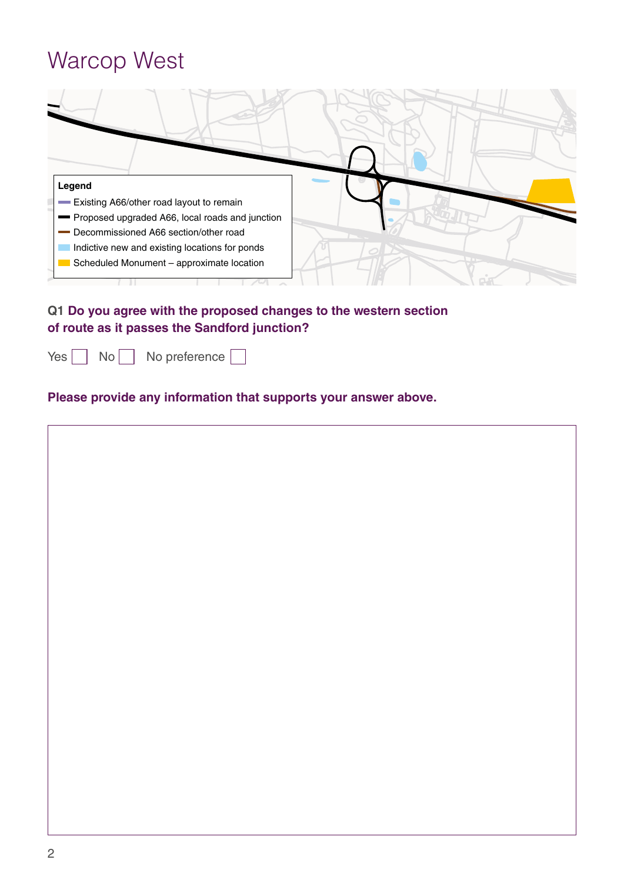### Warcop West



### **Q1 Do you agree with the proposed changes to the western section of route as it passes the Sandford junction?**

Yes \No \No preference [

#### **Please provide any information that supports your answer above.**

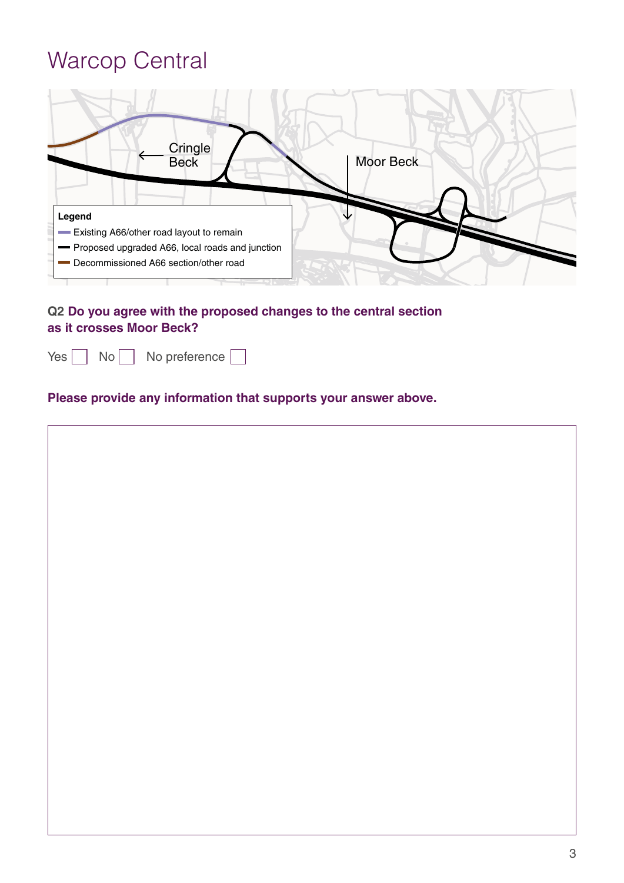## Warcop Central

| Cringle<br>Beck                                 | <b>Moor Beck</b> |
|-------------------------------------------------|------------------|
| Legend                                          |                  |
| Existing A66/other road layout to remain        |                  |
| Proposed upgraded A66, local roads and junction |                  |
| Decommissioned A66 section/other road           |                  |

**Q2 Do you agree with the proposed changes to the central section as it crosses Moor Beck?**

|  | $Yes \n\begin{array}{ c c c c c } \n\hline\nNo \n\end{array}$ No preference $\begin{array}{ c c c c c } \n\hline\n\end{array}$ |  |
|--|--------------------------------------------------------------------------------------------------------------------------------|--|
|  |                                                                                                                                |  |

### **Please provide any information that supports your answer above.**